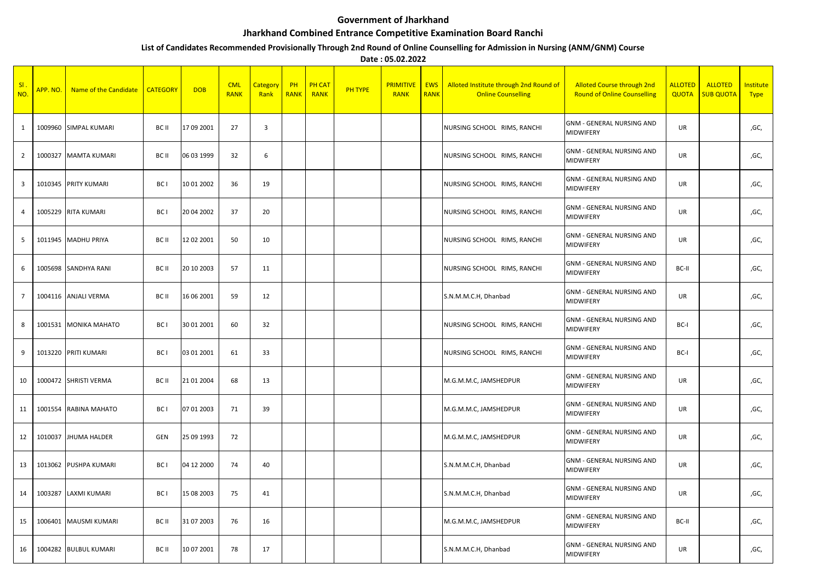## **Government of Jharkhand**

## **Jharkhand Combined Entrance Competitive Examination Board Ranchi**

## **List of Candidates Recommended Provisionally Through 2nd Round of Online Counselling for Admission in Nursing (ANM/GNM) Course**

**Date : 05.02.2022**

| SI<br>NO.      | APP. NO. | Name of the Candidate | <b>CATEGORY</b> | <b>DOB</b> | <b>CML</b><br><b>RANK</b> | Category<br>Rank | PH<br><b>RANK</b> | <b>PH CAT</b><br><b>RANK</b> | <b>PH TYPE</b> | <b>PRIMITIVE</b><br><b>RANK</b> | <b>EWS</b><br><b>RANK</b> | Alloted Institute through 2nd Round of<br><b>Online Counselling</b> | <b>Alloted Course through 2nd</b><br><b>Round of Online Counselling</b> | <b>ALLOTED</b><br>QUOTA | <b>ALLOTED</b><br><b>SUB QUOTA</b> | Institute<br><b>Type</b> |
|----------------|----------|-----------------------|-----------------|------------|---------------------------|------------------|-------------------|------------------------------|----------------|---------------------------------|---------------------------|---------------------------------------------------------------------|-------------------------------------------------------------------------|-------------------------|------------------------------------|--------------------------|
| $\mathbf{1}$   | 1009960  | <b>SIMPAL KUMARI</b>  | BC II           | 17 09 2001 | 27                        | $\overline{3}$   |                   |                              |                |                                 |                           | NURSING SCHOOL RIMS, RANCHI                                         | GNM - GENERAL NURSING AND<br>MIDWIFERY                                  | UR                      |                                    | ,GC,                     |
| $\overline{2}$ | 1000327  | <b>MAMTA KUMARI</b>   | BC II           | 06 03 1999 | 32                        | 6                |                   |                              |                |                                 |                           | NURSING SCHOOL RIMS, RANCHI                                         | <b>GNM - GENERAL NURSING AND</b><br>MIDWIFERY                           | UR                      |                                    | ,GC,                     |
| 3              |          | 1010345 PRITY KUMARI  | BC I            | 10 01 2002 | 36                        | 19               |                   |                              |                |                                 |                           | NURSING SCHOOL RIMS, RANCHI                                         | <b>GNM - GENERAL NURSING AND</b><br>MIDWIFERY                           | UR                      |                                    | ,GC,                     |
| $\overline{4}$ | 1005229  | <b>RITA KUMARI</b>    | BC I            | 20 04 2002 | 37                        | 20               |                   |                              |                |                                 |                           | NURSING SCHOOL RIMS, RANCHI                                         | <b>GNM - GENERAL NURSING AND</b><br>MIDWIFERY                           | UR                      |                                    | ,GC,                     |
| 5              | 1011945  | <b>MADHU PRIYA</b>    | BC II           | 12 02 2001 | 50                        | 10               |                   |                              |                |                                 |                           | NURSING SCHOOL RIMS, RANCHI                                         | <b>GNM - GENERAL NURSING AND</b><br>MIDWIFERY                           | <b>UR</b>               |                                    | ,GC,                     |
| 6              | 1005698  | <b>SANDHYA RANI</b>   | BC II           | 20 10 2003 | 57                        | 11               |                   |                              |                |                                 |                           | NURSING SCHOOL RIMS, RANCHI                                         | <b>GNM - GENERAL NURSING AND</b><br>MIDWIFERY                           | BC-II                   |                                    | ,GC,                     |
| $\overline{7}$ |          | 1004116 ANJALI VERMA  | BC II           | 16 06 2001 | 59                        | 12               |                   |                              |                |                                 |                           | S.N.M.M.C.H, Dhanbad                                                | <b>GNM - GENERAL NURSING AND</b><br>MIDWIFERY                           | UR                      |                                    | ,GC,                     |
| 8              |          | 1001531 MONIKA MAHATO | BC I            | 30 01 2001 | 60                        | 32               |                   |                              |                |                                 |                           | NURSING SCHOOL RIMS, RANCHI                                         | <b>GNM - GENERAL NURSING AND</b><br>MIDWIFERY                           | BC-I                    |                                    | ,GC,                     |
| 9              |          | 1013220 PRITI KUMARI  | BC I            | 03 01 2001 | 61                        | 33               |                   |                              |                |                                 |                           | NURSING SCHOOL RIMS, RANCHI                                         | <b>GNM - GENERAL NURSING AND</b><br>MIDWIFERY                           | BC-I                    |                                    | ,GC,                     |
| 10             |          | 1000472 SHRISTI VERMA | BC II           | 21 01 2004 | 68                        | 13               |                   |                              |                |                                 |                           | M.G.M.M.C, JAMSHEDPUR                                               | GNM - GENERAL NURSING AND<br><b>MIDWIFERY</b>                           | UR                      |                                    | ,GC,                     |
| 11             | 1001554  | RABINA MAHATO         | BC <sub>I</sub> | 07 01 2003 | 71                        | 39               |                   |                              |                |                                 |                           | M.G.M.M.C, JAMSHEDPUR                                               | <b>GNM - GENERAL NURSING AND</b><br>MIDWIFERY                           | UR                      |                                    | ,GC,                     |
| 12             |          | 1010037 JHUMA HALDER  | GEN             | 25 09 1993 | 72                        |                  |                   |                              |                |                                 |                           | M.G.M.M.C, JAMSHEDPUR                                               | <b>GNM - GENERAL NURSING AND</b><br><b>MIDWIFERY</b>                    | <b>UR</b>               |                                    | ,GC,                     |
| 13             | 1013062  | PUSHPA KUMARI         | BC <sub>I</sub> | 04 12 2000 | 74                        | 40               |                   |                              |                |                                 |                           | S.N.M.M.C.H, Dhanbad                                                | <b>GNM - GENERAL NURSING AND</b><br>MIDWIFERY                           | UR                      |                                    | ,GC,                     |
| 14             | 1003287  | LAXMI KUMARI          | BC I            | 15 08 2003 | 75                        | 41               |                   |                              |                |                                 |                           | S.N.M.M.C.H, Dhanbad                                                | <b>GNM - GENERAL NURSING AND</b><br>MIDWIFERY                           | UR                      |                                    | ,GC,                     |
| 15             | 1006401  | <b>MAUSMI KUMARI</b>  | BC II           | 31 07 2003 | 76                        | 16               |                   |                              |                |                                 |                           | M.G.M.M.C, JAMSHEDPUR                                               | <b>GNM - GENERAL NURSING AND</b><br>MIDWIFERY                           | BC-II                   |                                    | ,GC,                     |
| 16             |          | 1004282 BULBUL KUMARI | BC II           | 10 07 2001 | 78                        | 17               |                   |                              |                |                                 |                           | S.N.M.M.C.H, Dhanbad                                                | <b>GNM - GENERAL NURSING AND</b><br>MIDWIFERY                           | <b>UR</b>               |                                    | ,GC,                     |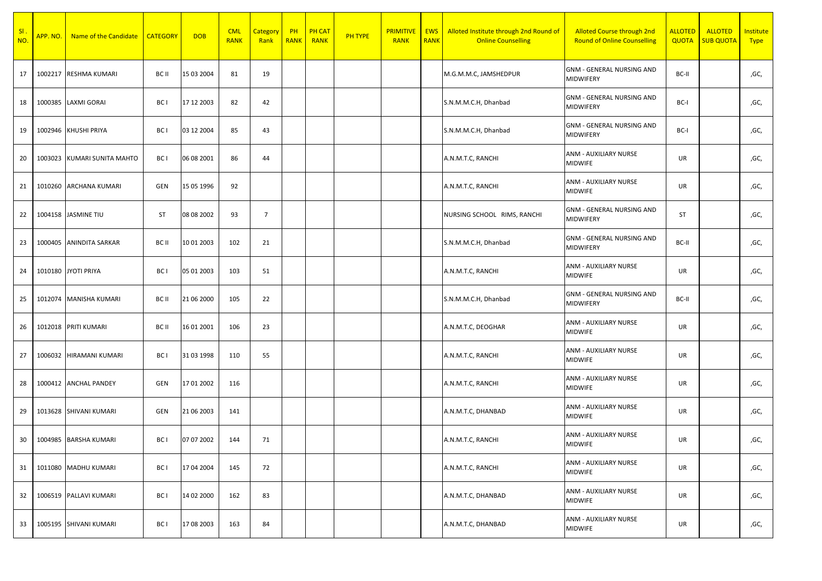| SI<br>NO. | APP. NO. | Name of the Candidate       | <b>CATEGORY</b> | <b>DOB</b> | <b>CML</b><br><b>RANK</b> | <b>Category</b><br>Rank | PH<br><b>RANK</b> | <b>PH CAT</b><br><b>RANK</b> | <b>PH TYPE</b> | <b>PRIMITIVE</b><br><b>RANK</b> | <b>EWS</b><br><b>RANK</b> | Alloted Institute through 2nd Round of<br><b>Online Counselling</b> | <b>Alloted Course through 2nd</b><br><b>Round of Online Counselling</b> | <b>ALLOTED</b><br><b>QUOTA</b> | <b>ALLOTED</b><br><b>SUB QUOTA</b> | Institute<br><b>Type</b> |
|-----------|----------|-----------------------------|-----------------|------------|---------------------------|-------------------------|-------------------|------------------------------|----------------|---------------------------------|---------------------------|---------------------------------------------------------------------|-------------------------------------------------------------------------|--------------------------------|------------------------------------|--------------------------|
| 17        |          | 1002217 RESHMA KUMARI       | BC II           | 15 03 2004 | 81                        | 19                      |                   |                              |                |                                 |                           | M.G.M.M.C, JAMSHEDPUR                                               | <b>GNM - GENERAL NURSING AND</b><br><b>MIDWIFERY</b>                    | BC-II                          |                                    | ,GC,                     |
| 18        |          | 1000385 LAXMI GORAI         | BC I            | 17 12 2003 | 82                        | 42                      |                   |                              |                |                                 |                           | S.N.M.M.C.H, Dhanbad                                                | <b>GNM - GENERAL NURSING AND</b><br>MIDWIFERY                           | BC-I                           |                                    | ,GC,                     |
| 19        |          | 1002946 KHUSHI PRIYA        | BC I            | 03 12 2004 | 85                        | 43                      |                   |                              |                |                                 |                           | S.N.M.M.C.H, Dhanbad                                                | <b>GNM - GENERAL NURSING AND</b><br>MIDWIFERY                           | BC-I                           |                                    | ,GC,                     |
| 20        |          | 1003023 KUMARI SUNITA MAHTO | BC I            | 06 08 2001 | 86                        | 44                      |                   |                              |                |                                 |                           | A.N.M.T.C, RANCHI                                                   | ANM - AUXILIARY NURSE<br><b>MIDWIFE</b>                                 | UR                             |                                    | ,GC,                     |
| 21        |          | 1010260 ARCHANA KUMARI      | GEN             | 15 05 1996 | 92                        |                         |                   |                              |                |                                 |                           | A.N.M.T.C, RANCHI                                                   | ANM - AUXILIARY NURSE<br><b>MIDWIFE</b>                                 | UR                             |                                    | ,GC,                     |
| 22        |          | 1004158 JASMINE TIU         | ST              | 08 08 2002 | 93                        | $\overline{7}$          |                   |                              |                |                                 |                           | NURSING SCHOOL RIMS, RANCHI                                         | <b>GNM - GENERAL NURSING AND</b><br>MIDWIFERY                           | ST                             |                                    | ,GC,                     |
| 23        |          | 1000405 ANINDITA SARKAR     | BC II           | 10 01 2003 | 102                       | 21                      |                   |                              |                |                                 |                           | S.N.M.M.C.H, Dhanbad                                                | <b>GNM - GENERAL NURSING AND</b><br>MIDWIFERY                           | BC-II                          |                                    | ,GC,                     |
| 24        |          | 1010180 JYOTI PRIYA         | BC I            | 05 01 2003 | 103                       | 51                      |                   |                              |                |                                 |                           | A.N.M.T.C, RANCHI                                                   | ANM - AUXILIARY NURSE<br><b>MIDWIFE</b>                                 | UR                             |                                    | ,GC,                     |
| 25        |          | 1012074 MANISHA KUMARI      | BC II           | 21 06 2000 | 105                       | 22                      |                   |                              |                |                                 |                           | S.N.M.M.C.H, Dhanbad                                                | <b>GNM - GENERAL NURSING AND</b><br>MIDWIFERY                           | BC-II                          |                                    | ,GC,                     |
| 26        |          | 1012018 PRITI KUMARI        | BC II           | 16 01 2001 | 106                       | 23                      |                   |                              |                |                                 |                           | A.N.M.T.C, DEOGHAR                                                  | ANM - AUXILIARY NURSE<br><b>MIDWIFE</b>                                 | UR                             |                                    | ,GC,                     |
| 27        |          | 1006032 HIRAMANI KUMARI     | BC I            | 31 03 1998 | 110                       | 55                      |                   |                              |                |                                 |                           | A.N.M.T.C, RANCHI                                                   | ANM - AUXILIARY NURSE<br><b>MIDWIFE</b>                                 | UR                             |                                    | ,GC,                     |
| 28        |          | 1000412 ANCHAL PANDEY       | GEN             | 17 01 2002 | 116                       |                         |                   |                              |                |                                 |                           | A.N.M.T.C, RANCHI                                                   | ANM - AUXILIARY NURSE<br><b>MIDWIFE</b>                                 | UR                             |                                    | ,GC,                     |
| 29        |          | 1013628 SHIVANI KUMARI      | GEN             | 21 06 2003 | 141                       |                         |                   |                              |                |                                 |                           | A.N.M.T.C, DHANBAD                                                  | ANM - AUXILIARY NURSE<br><b>MIDWIFE</b>                                 | UR                             |                                    | ,GC,                     |
| 30        |          | 1004985 BARSHA KUMARI       | BC I            | 07 07 2002 | 144                       | 71                      |                   |                              |                |                                 |                           | A.N.M.T.C, RANCHI                                                   | ANM - AUXILIARY NURSE<br><b>MIDWIFE</b>                                 | UR                             |                                    | ,GC,                     |
| 31        |          | 1011080 MADHU KUMARI        | BC I            | 17 04 2004 | 145                       | 72                      |                   |                              |                |                                 |                           | A.N.M.T.C, RANCHI                                                   | ANM - AUXILIARY NURSE<br><b>MIDWIFE</b>                                 | UR                             |                                    | ,GC,                     |
| 32        |          | 1006519 PALLAVI KUMARI      | BC I            | 14 02 2000 | 162                       | 83                      |                   |                              |                |                                 |                           | A.N.M.T.C, DHANBAD                                                  | ANM - AUXILIARY NURSE<br><b>MIDWIFE</b>                                 | UR                             |                                    | ,GC,                     |
| 33        |          | 1005195 SHIVANI KUMARI      | BC I            | 17 08 2003 | 163                       | 84                      |                   |                              |                |                                 |                           | A.N.M.T.C, DHANBAD                                                  | ANM - AUXILIARY NURSE<br><b>MIDWIFE</b>                                 | UR                             |                                    | ,GC,                     |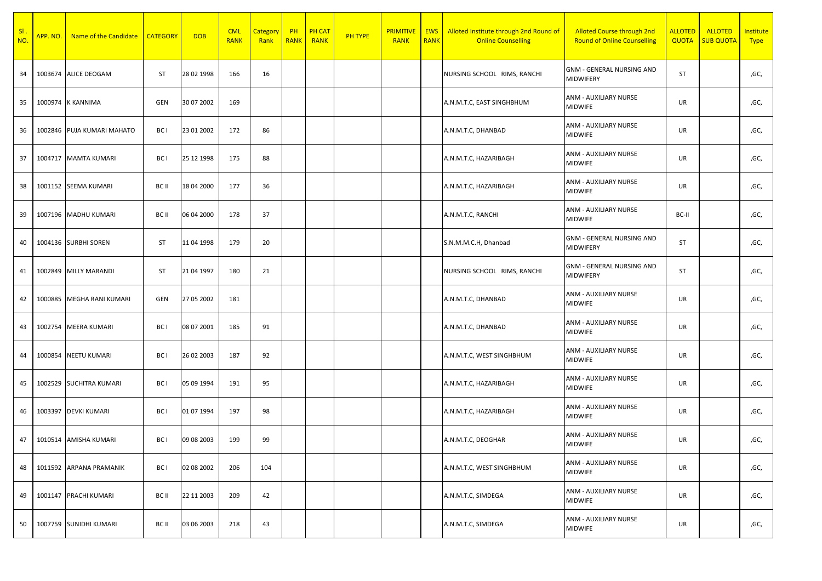| SI<br>NO. | APP. NO. | Name of the Candidate      | <b>CATEGORY</b> | <b>DOB</b> | <b>CML</b><br><b>RANK</b> | <b>Category</b><br>Rank | PH<br><b>RANK</b> | <b>PH CAT</b><br><b>RANK</b> | <b>PH TYPE</b> | <b>PRIMITIVE</b><br><b>RANK</b> | <b>EWS</b><br><b>RANK</b> | Alloted Institute through 2nd Round of<br><b>Online Counselling</b> | <b>Alloted Course through 2nd</b><br><b>Round of Online Counselling</b> | <b>ALLOTED</b><br><b>QUOTA</b> | <b>ALLOTED</b><br><b>SUB QUOTA</b> | Institute<br><b>Type</b> |
|-----------|----------|----------------------------|-----------------|------------|---------------------------|-------------------------|-------------------|------------------------------|----------------|---------------------------------|---------------------------|---------------------------------------------------------------------|-------------------------------------------------------------------------|--------------------------------|------------------------------------|--------------------------|
| 34        |          | 1003674 ALICE DEOGAM       | <b>ST</b>       | 28 02 1998 | 166                       | 16                      |                   |                              |                |                                 |                           | NURSING SCHOOL RIMS, RANCHI                                         | <b>GNM - GENERAL NURSING AND</b><br>MIDWIFERY                           | <b>ST</b>                      |                                    | ,GC,                     |
| 35        |          | 1000974 K KANNIMA          | GEN             | 30 07 2002 | 169                       |                         |                   |                              |                |                                 |                           | A.N.M.T.C, EAST SINGHBHUM                                           | ANM - AUXILIARY NURSE<br><b>MIDWIFE</b>                                 | UR                             |                                    | ,GC,                     |
| 36        |          | 1002846 PUJA KUMARI MAHATO | BC <sub>1</sub> | 23 01 2002 | 172                       | 86                      |                   |                              |                |                                 |                           | A.N.M.T.C, DHANBAD                                                  | ANM - AUXILIARY NURSE<br><b>MIDWIFE</b>                                 | UR                             |                                    | ,GC,                     |
| 37        |          | 1004717 MAMTA KUMARI       | BC I            | 25 12 1998 | 175                       | 88                      |                   |                              |                |                                 |                           | A.N.M.T.C, HAZARIBAGH                                               | ANM - AUXILIARY NURSE<br>MIDWIFE                                        | UR                             |                                    | ,GC,                     |
| 38        |          | 1001152 SEEMA KUMARI       | BC II           | 18 04 2000 | 177                       | 36                      |                   |                              |                |                                 |                           | A.N.M.T.C, HAZARIBAGH                                               | ANM - AUXILIARY NURSE<br><b>MIDWIFE</b>                                 | UR                             |                                    | ,GC,                     |
| 39        | 1007196  | <b>MADHU KUMARI</b>        | BC II           | 06 04 2000 | 178                       | 37                      |                   |                              |                |                                 |                           | A.N.M.T.C, RANCHI                                                   | ANM - AUXILIARY NURSE<br><b>MIDWIFE</b>                                 | BC-II                          |                                    | ,GC,                     |
| 40        |          | 1004136 SURBHI SOREN       | ST              | 11 04 1998 | 179                       | 20                      |                   |                              |                |                                 |                           | S.N.M.M.C.H, Dhanbad                                                | <b>GNM - GENERAL NURSING AND</b><br>MIDWIFERY                           | <b>ST</b>                      |                                    | ,GC,                     |
| 41        |          | 1002849 MILLY MARANDI      | <b>ST</b>       | 21 04 1997 | 180                       | 21                      |                   |                              |                |                                 |                           | NURSING SCHOOL RIMS, RANCHI                                         | <b>GNM - GENERAL NURSING AND</b><br>MIDWIFERY                           | <b>ST</b>                      |                                    | ,GC,                     |
| 42        | 1000885  | MEGHA RANI KUMARI          | GEN             | 27 05 2002 | 181                       |                         |                   |                              |                |                                 |                           | A.N.M.T.C, DHANBAD                                                  | ANM - AUXILIARY NURSE<br><b>MIDWIFE</b>                                 | UR                             |                                    | ,GC,                     |
| 43        |          | 1002754 MEERA KUMARI       | BC I            | 08 07 2001 | 185                       | 91                      |                   |                              |                |                                 |                           | A.N.M.T.C, DHANBAD                                                  | ANM - AUXILIARY NURSE<br><b>MIDWIFE</b>                                 | UR                             |                                    | ,GC,                     |
| 44        | 1000854  | <b>NEETU KUMARI</b>        | BC I            | 26 02 2003 | 187                       | 92                      |                   |                              |                |                                 |                           | A.N.M.T.C, WEST SINGHBHUM                                           | ANM - AUXILIARY NURSE<br><b>MIDWIFE</b>                                 | UR                             |                                    | ,GC,                     |
| 45        | 1002529  | <b>SUCHITRA KUMARI</b>     | BC I            | 05 09 1994 | 191                       | 95                      |                   |                              |                |                                 |                           | A.N.M.T.C, HAZARIBAGH                                               | ANM - AUXILIARY NURSE<br><b>MIDWIFE</b>                                 | UR                             |                                    | ,GC,                     |
| 46        |          | 1003397 DEVKI KUMARI       | BC I            | 01 07 1994 | 197                       | 98                      |                   |                              |                |                                 |                           | A.N.M.T.C, HAZARIBAGH                                               | ANM - AUXILIARY NURSE<br><b>MIDWIFE</b>                                 | UR                             |                                    | ,GC,                     |
| 47        |          | 1010514 AMISHA KUMARI      | BC I            | 09 08 2003 | 199                       | 99                      |                   |                              |                |                                 |                           | A.N.M.T.C, DEOGHAR                                                  | ANM - AUXILIARY NURSE<br><b>MIDWIFE</b>                                 | UR                             |                                    | ,GC,                     |
| 48        |          | 1011592 ARPANA PRAMANIK    | BC I            | 02 08 2002 | 206                       | 104                     |                   |                              |                |                                 |                           | A.N.M.T.C, WEST SINGHBHUM                                           | ANM - AUXILIARY NURSE<br><b>MIDWIFE</b>                                 | UR                             |                                    | ,GC,                     |
| 49        |          | 1001147 PRACHI KUMARI      | BC II           | 22 11 2003 | 209                       | 42                      |                   |                              |                |                                 |                           | A.N.M.T.C, SIMDEGA                                                  | ANM - AUXILIARY NURSE<br><b>MIDWIFE</b>                                 | UR                             |                                    | ,GC,                     |
| 50        | 1007759  | <b>SUNIDHI KUMARI</b>      | BC II           | 03 06 2003 | 218                       | 43                      |                   |                              |                |                                 |                           | A.N.M.T.C, SIMDEGA                                                  | ANM - AUXILIARY NURSE<br>MIDWIFE                                        | UR                             |                                    | ,GC,                     |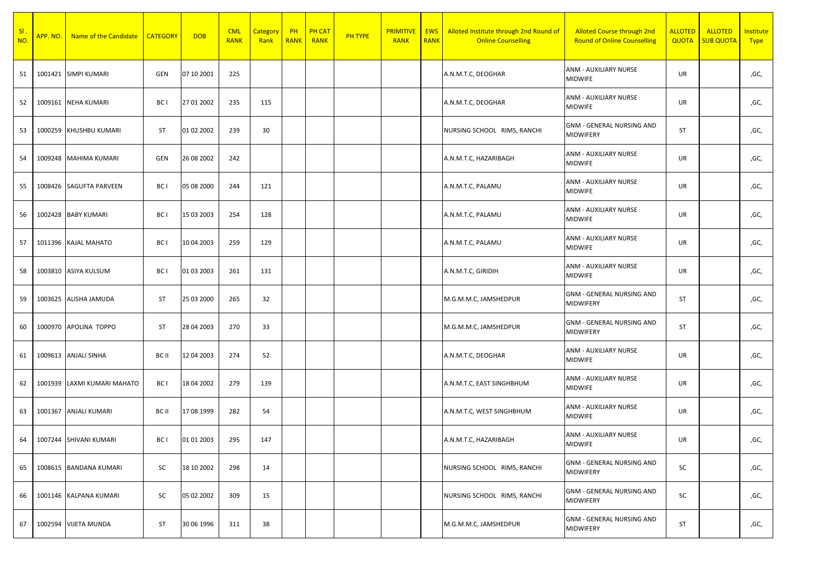| SI.<br>NO. | APP. NO. | Name of the Candidate       | <b>CATEGORY</b> | <b>DOB</b> | <b>CML</b><br><b>RANK</b> | <b>Category</b><br>Rank | PH<br><b>RANK</b> | <b>PH CAT</b><br><b>RANK</b> | <b>PH TYPE</b> | <b>PRIMITIVE</b><br><b>RANK</b> | <b>EWS</b><br><b>RANK</b> | Alloted Institute through 2nd Round of<br><b>Online Counselling</b> | <b>Alloted Course through 2nd</b><br><b>Round of Online Counselling</b> | <b>ALLOTED</b><br><b>QUOTA</b> | <b>ALLOTED</b><br><b>SUB QUOTA</b> | Institute<br><b>Type</b> |
|------------|----------|-----------------------------|-----------------|------------|---------------------------|-------------------------|-------------------|------------------------------|----------------|---------------------------------|---------------------------|---------------------------------------------------------------------|-------------------------------------------------------------------------|--------------------------------|------------------------------------|--------------------------|
| 51         |          | 1001421 SIMPI KUMARI        | GEN             | 07 10 2001 | 225                       |                         |                   |                              |                |                                 |                           | A.N.M.T.C, DEOGHAR                                                  | ANM - AUXILIARY NURSE<br><b>MIDWIFE</b>                                 | UR                             |                                    | ,GC,                     |
| 52         |          | 1009161 NEHA KUMARI         | BC I            | 27 01 2002 | 235                       | 115                     |                   |                              |                |                                 |                           | A.N.M.T.C, DEOGHAR                                                  | ANM - AUXILIARY NURSE<br><b>MIDWIFE</b>                                 | UR                             |                                    | ,GC,                     |
| 53         |          | 1000259 KHUSHBU KUMARI      | <b>ST</b>       | 01 02 2002 | 239                       | 30                      |                   |                              |                |                                 |                           | NURSING SCHOOL RIMS, RANCHI                                         | <b>GNM - GENERAL NURSING AND</b><br>MIDWIFERY                           | <b>ST</b>                      |                                    | ,GC,                     |
| 54         |          | 1009248 MAHIMA KUMARI       | GEN             | 26 08 2002 | 242                       |                         |                   |                              |                |                                 |                           | A.N.M.T.C, HAZARIBAGH                                               | ANM - AUXILIARY NURSE<br><b>MIDWIFE</b>                                 | UR                             |                                    | ,GC,                     |
| 55         |          | 1008426 SAGUFTA PARVEEN     | BC I            | 05 08 2000 | 244                       | 121                     |                   |                              |                |                                 |                           | A.N.M.T.C, PALAMU                                                   | ANM - AUXILIARY NURSE<br><b>MIDWIFE</b>                                 | UR                             |                                    | ,GC,                     |
| 56         |          | 1002428 BABY KUMARI         | BC I            | 15 03 2003 | 254                       | 128                     |                   |                              |                |                                 |                           | A.N.M.T.C, PALAMU                                                   | ANM - AUXILIARY NURSE<br><b>MIDWIFE</b>                                 | UR                             |                                    | ,GC,                     |
| 57         |          | 1011396 KAJAL MAHATO        | BC I            | 10 04 2003 | 259                       | 129                     |                   |                              |                |                                 |                           | A.N.M.T.C, PALAMU                                                   | ANM - AUXILIARY NURSE<br><b>MIDWIFE</b>                                 | UR                             |                                    | ,GC,                     |
| 58         |          | 1003810 ASIYA KULSUM        | BC I            | 01 03 2003 | 261                       | 131                     |                   |                              |                |                                 |                           | A.N.M.T.C, GIRIDIH                                                  | ANM - AUXILIARY NURSE<br><b>MIDWIFE</b>                                 | UR                             |                                    | ,GC,                     |
| 59         |          | 1003625 ALISHA JAMUDA       | <b>ST</b>       | 25 03 2000 | 265                       | 32                      |                   |                              |                |                                 |                           | M.G.M.M.C, JAMSHEDPUR                                               | <b>GNM - GENERAL NURSING AND</b><br>MIDWIFERY                           | <b>ST</b>                      |                                    | ,GC,                     |
| 60         |          | 1000970 APOLINA TOPPO       | <b>ST</b>       | 28 04 2003 | 270                       | 33                      |                   |                              |                |                                 |                           | M.G.M.M.C, JAMSHEDPUR                                               | <b>GNM - GENERAL NURSING AND</b><br>MIDWIFERY                           | ST                             |                                    | ,GC,                     |
| 61         |          | 1009613 ANJALI SINHA        | BC II           | 12 04 2003 | 274                       | 52                      |                   |                              |                |                                 |                           | A.N.M.T.C, DEOGHAR                                                  | ANM - AUXILIARY NURSE<br><b>MIDWIFE</b>                                 | UR                             |                                    | ,GC,                     |
| 62         |          | 1001939 LAXMI KUMARI MAHATO | BC I            | 18 04 2002 | 279                       | 139                     |                   |                              |                |                                 |                           | A.N.M.T.C, EAST SINGHBHUM                                           | ANM - AUXILIARY NURSE<br><b>MIDWIFE</b>                                 | UR                             |                                    | ,GC,                     |
| 63         |          | 1001367 ANJALI KUMARI       | BC II           | 17 08 1999 | 282                       | 54                      |                   |                              |                |                                 |                           | A.N.M.T.C, WEST SINGHBHUM                                           | ANM - AUXILIARY NURSE<br><b>MIDWIFE</b>                                 | UR                             |                                    | ,GC,                     |
| 64         |          | 1007244 SHIVANI KUMARI      | BC I            | 01 01 2003 | 295                       | 147                     |                   |                              |                |                                 |                           | A.N.M.T.C, HAZARIBAGH                                               | ANM - AUXILIARY NURSE<br><b>MIDWIFE</b>                                 | UR                             |                                    | ,GC,                     |
| 65         |          | 1008615 BANDANA KUMARI      | SC              | 18 10 2002 | 298                       | 14                      |                   |                              |                |                                 |                           | NURSING SCHOOL RIMS, RANCHI                                         | <b>GNM - GENERAL NURSING AND</b><br>MIDWIFERY                           | SC                             |                                    | ,GC,                     |
| 66         |          | 1001146 KALPANA KUMARI      | SC              | 05 02 2002 | 309                       | 15                      |                   |                              |                |                                 |                           | NURSING SCHOOL RIMS, RANCHI                                         | <b>GNM - GENERAL NURSING AND</b><br>MIDWIFERY                           | SC                             |                                    | ,GC,                     |
| 67         |          | 1002594 VIJETA MUNDA        | ST              | 30 06 1996 | 311                       | 38                      |                   |                              |                |                                 |                           | M.G.M.M.C, JAMSHEDPUR                                               | <b>GNM - GENERAL NURSING AND</b><br>MIDWIFERY                           | ST                             |                                    | ,GC,                     |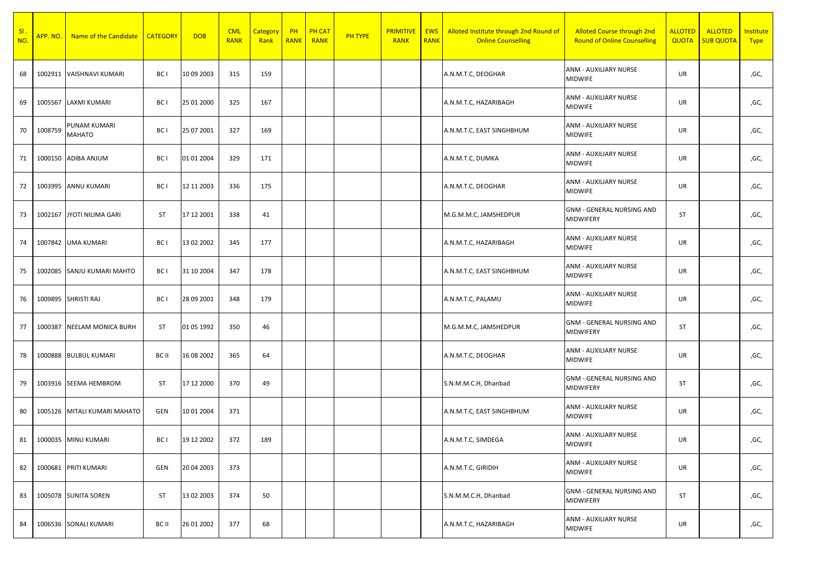| SI<br>NO. | <mark>APP. NO.</mark> | Name of the Candidate      | <b>CATEGORY</b> | <b>DOB</b> | <b>CML</b><br><b>RANK</b> | Category<br>Rank | PH<br><b>RANK</b> | <b>PH CAT</b><br><b>RANK</b> | <b>PH TYPE</b> | <b>PRIMITIVE</b><br><b>RANK</b> | <b>EWS</b><br><b>RANK</b> | Alloted Institute through 2nd Round of<br><b>Online Counselling</b> | <b>Alloted Course through 2nd</b><br><b>Round of Online Counselling</b> | <b>ALLOTED</b><br><b>QUOTA</b> | <b>ALLOTED</b><br><b>SUB QUOTA</b> | Institute<br><b>Type</b> |
|-----------|-----------------------|----------------------------|-----------------|------------|---------------------------|------------------|-------------------|------------------------------|----------------|---------------------------------|---------------------------|---------------------------------------------------------------------|-------------------------------------------------------------------------|--------------------------------|------------------------------------|--------------------------|
| 68        | 1002911               | VAISHNAVI KUMARI           | BC I            | 10 09 2003 | 315                       | 159              |                   |                              |                |                                 |                           | A.N.M.T.C, DEOGHAR                                                  | ANM - AUXILIARY NURSE<br><b>MIDWIFE</b>                                 | UR                             |                                    | ,GC,                     |
| 69        | 1005567               | LAXMI KUMARI               | BC I            | 25 01 2000 | 325                       | 167              |                   |                              |                |                                 |                           | A.N.M.T.C, HAZARIBAGH                                               | ANM - AUXILIARY NURSE<br>MIDWIFE                                        | UR                             |                                    | ,GC,                     |
| 70        | 1008759               | PUNAM KUMARI<br>MAHATO     | BC I            | 25 07 2001 | 327                       | 169              |                   |                              |                |                                 |                           | A.N.M.T.C, EAST SINGHBHUM                                           | ANM - AUXILIARY NURSE<br><b>MIDWIFE</b>                                 | UR                             |                                    | ,GC,                     |
| 71        |                       | 1000150 ADIBA ANJUM        | BC I            | 01 01 2004 | 329                       | 171              |                   |                              |                |                                 |                           | A.N.M.T.C, DUMKA                                                    | ANM - AUXILIARY NURSE<br>MIDWIFE                                        | UR                             |                                    | ,GC,                     |
| 72        |                       | 1003995 ANNU KUMARI        | BC I            | 12 11 2003 | 336                       | 175              |                   |                              |                |                                 |                           | A.N.M.T.C, DEOGHAR                                                  | ANM - AUXILIARY NURSE<br><b>MIDWIFE</b>                                 | UR                             |                                    | ,GC,                     |
| 73        |                       | 1002167 JYOTI NILIMA GARI  | <b>ST</b>       | 17 12 2001 | 338                       | 41               |                   |                              |                |                                 |                           | M.G.M.M.C, JAMSHEDPUR                                               | <b>GNM - GENERAL NURSING AND</b><br>MIDWIFERY                           | ST                             |                                    | ,GC,                     |
| 74        |                       | 1007842 UMA KUMARI         | BC I            | 13 02 2002 | 345                       | 177              |                   |                              |                |                                 |                           | A.N.M.T.C, HAZARIBAGH                                               | ANM - AUXILIARY NURSE<br>MIDWIFE                                        | UR                             |                                    | ,GC,                     |
| 75        |                       | 1002085 SANJU KUMARI MAHTO | BC I            | 31 10 2004 | 347                       | 178              |                   |                              |                |                                 |                           | A.N.M.T.C, EAST SINGHBHUM                                           | ANM - AUXILIARY NURSE<br><b>MIDWIFE</b>                                 | UR                             |                                    | ,GC,                     |
| 76        |                       | 1009895 SHRISTI RAJ        | BC I            | 28 09 2001 | 348                       | 179              |                   |                              |                |                                 |                           | A.N.M.T.C, PALAMU                                                   | ANM - AUXILIARY NURSE<br>MIDWIFE                                        | UR                             |                                    | ,GC,                     |
| 77        | 1000387               | <b>NEELAM MONICA BURH</b>  | <b>ST</b>       | 01 05 1992 | 350                       | 46               |                   |                              |                |                                 |                           | M.G.M.M.C, JAMSHEDPUR                                               | <b>GNM - GENERAL NURSING AND</b><br>MIDWIFERY                           | ST                             |                                    | ,GC,                     |
| 78        |                       | 1000888 BULBUL KUMARI      | BC II           | 16 08 2002 | 365                       | 64               |                   |                              |                |                                 |                           | A.N.M.T.C, DEOGHAR                                                  | ANM - AUXILIARY NURSE<br>MIDWIFE                                        | UR                             |                                    | ,GC,                     |
| 79        |                       | 1003916 SEEMA HEMBROM      | <b>ST</b>       | 17 12 2000 | 370                       | 49               |                   |                              |                |                                 |                           | S.N.M.M.C.H, Dhanbad                                                | <b>GNM - GENERAL NURSING AND</b><br>MIDWIFERY                           | <b>ST</b>                      |                                    | ,GC,                     |
| 80        | 1005126               | MITALI KUMARI MAHATO       | GEN             | 10 01 2004 | 371                       |                  |                   |                              |                |                                 |                           | A.N.M.T.C, EAST SINGHBHUM                                           | ANM - AUXILIARY NURSE<br><b>MIDWIFE</b>                                 | UR                             |                                    | ,GC,                     |
| 81        |                       | 1000035 MINU KUMARI        | BC I            | 19 12 2002 | 372                       | 189              |                   |                              |                |                                 |                           | A.N.M.T.C, SIMDEGA                                                  | ANM - AUXILIARY NURSE<br><b>MIDWIFE</b>                                 | UR                             |                                    | ,GC,                     |
| 82        |                       | 1000681 PRITI KUMARI       | GEN             | 20 04 2003 | 373                       |                  |                   |                              |                |                                 |                           | A.N.M.T.C, GIRIDIH                                                  | ANM - AUXILIARY NURSE<br><b>MIDWIFE</b>                                 | UR                             |                                    | ,GC,                     |
| 83        |                       | 1005078 SUNITA SOREN       | <b>ST</b>       | 13 02 2003 | 374                       | 50               |                   |                              |                |                                 |                           | S.N.M.M.C.H, Dhanbad                                                | <b>GNM - GENERAL NURSING AND</b><br>MIDWIFERY                           | ST                             |                                    | ,GC,                     |
| 84        |                       | 1006536 SONALI KUMARI      | BC II           | 26 01 2002 | 377                       | 68               |                   |                              |                |                                 |                           | A.N.M.T.C, HAZARIBAGH                                               | ANM - AUXILIARY NURSE<br>MIDWIFE                                        | UR                             |                                    | ,GC,                     |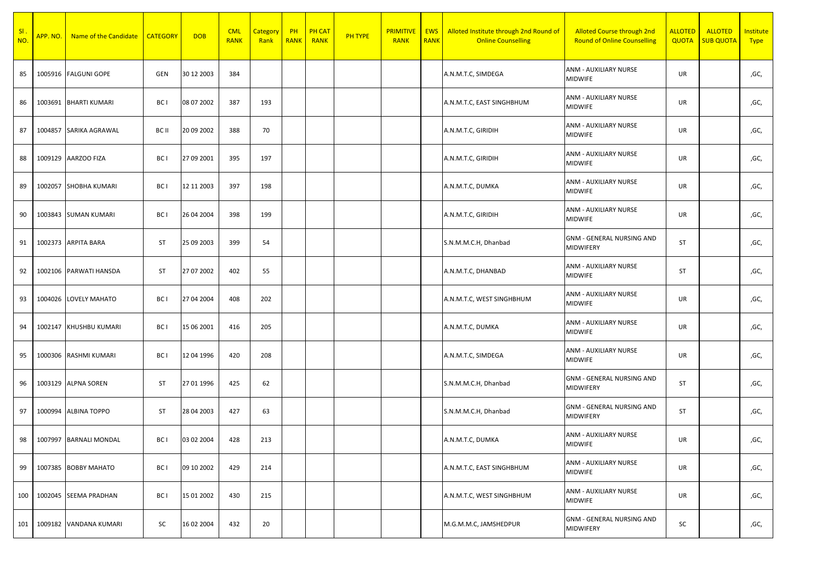| SI<br>NO. | APP.NO. | Name of the Candidate  | <b>CATEGORY</b> | <b>DOB</b> | <b>CML</b><br><b>RANK</b> | <b>Category</b><br>Rank | PH<br><b>RANK</b> | <b>PH CAT</b><br><b>RANK</b> | <b>PH TYPE</b> | <b>PRIMITIVE</b><br><b>RANK</b> | <b>EWS</b><br><b>RANK</b> | Alloted Institute through 2nd Round of<br><b>Online Counselling</b> | <b>Alloted Course through 2nd</b><br><b>Round of Online Counselling</b> | <b>ALLOTED</b><br><b>QUOTA</b> | <b>ALLOTED</b><br><b>SUB QUOTA</b> | Institute<br><b>Type</b> |
|-----------|---------|------------------------|-----------------|------------|---------------------------|-------------------------|-------------------|------------------------------|----------------|---------------------------------|---------------------------|---------------------------------------------------------------------|-------------------------------------------------------------------------|--------------------------------|------------------------------------|--------------------------|
| 85        |         | 1005916 FALGUNI GOPE   | GEN             | 30 12 2003 | 384                       |                         |                   |                              |                |                                 |                           | A.N.M.T.C, SIMDEGA                                                  | ANM - AUXILIARY NURSE<br><b>MIDWIFE</b>                                 | UR                             |                                    | ,GC,                     |
| 86        | 1003691 | <b>BHARTI KUMARI</b>   | BC I            | 08 07 2002 | 387                       | 193                     |                   |                              |                |                                 |                           | A.N.M.T.C, EAST SINGHBHUM                                           | ANM - AUXILIARY NURSE<br><b>MIDWIFE</b>                                 | UR                             |                                    | ,GC,                     |
| 87        |         | 1004857 SARIKA AGRAWAL | BC II           | 20 09 2002 | 388                       | 70                      |                   |                              |                |                                 |                           | A.N.M.T.C, GIRIDIH                                                  | ANM - AUXILIARY NURSE<br><b>MIDWIFE</b>                                 | UR                             |                                    | ,GC,                     |
| 88        |         | 1009129 AARZOO FIZA    | BC I            | 27 09 2001 | 395                       | 197                     |                   |                              |                |                                 |                           | A.N.M.T.C, GIRIDIH                                                  | ANM - AUXILIARY NURSE<br><b>MIDWIFE</b>                                 | UR                             |                                    | ,GC,                     |
| 89        |         | 1002057 SHOBHA KUMARI  | BC I            | 12 11 2003 | 397                       | 198                     |                   |                              |                |                                 |                           | A.N.M.T.C, DUMKA                                                    | ANM - AUXILIARY NURSE<br><b>MIDWIFE</b>                                 | UR                             |                                    | ,GC,                     |
| 90        |         | 1003843 SUMAN KUMARI   | BC I            | 26 04 2004 | 398                       | 199                     |                   |                              |                |                                 |                           | A.N.M.T.C, GIRIDIH                                                  | ANM - AUXILIARY NURSE<br><b>MIDWIFE</b>                                 | UR                             |                                    | ,GC,                     |
| 91        |         | 1002373 ARPITA BARA    | <b>ST</b>       | 25 09 2003 | 399                       | 54                      |                   |                              |                |                                 |                           | S.N.M.M.C.H, Dhanbad                                                | <b>GNM - GENERAL NURSING AND</b><br>MIDWIFERY                           | <b>ST</b>                      |                                    | ,GC,                     |
| 92        | 1002106 | PARWATI HANSDA         | <b>ST</b>       | 27 07 2002 | 402                       | 55                      |                   |                              |                |                                 |                           | A.N.M.T.C, DHANBAD                                                  | ANM - AUXILIARY NURSE<br><b>MIDWIFE</b>                                 | <b>ST</b>                      |                                    | ,GC,                     |
| 93        |         | 1004026 LOVELY MAHATO  | BC I            | 27 04 2004 | 408                       | 202                     |                   |                              |                |                                 |                           | A.N.M.T.C, WEST SINGHBHUM                                           | ANM - AUXILIARY NURSE<br><b>MIDWIFE</b>                                 | UR                             |                                    | ,GC,                     |
| 94        |         | 1002147 KHUSHBU KUMARI | BC I            | 15 06 2001 | 416                       | 205                     |                   |                              |                |                                 |                           | A.N.M.T.C, DUMKA                                                    | ANM - AUXILIARY NURSE<br><b>MIDWIFE</b>                                 | UR                             |                                    | ,GC,                     |
| 95        | 1000306 | RASHMI KUMARI          | BC I            | 12 04 1996 | 420                       | 208                     |                   |                              |                |                                 |                           | A.N.M.T.C, SIMDEGA                                                  | ANM - AUXILIARY NURSE<br><b>MIDWIFE</b>                                 | UR                             |                                    | ,GC,                     |
| 96        |         | 1003129 ALPNA SOREN    | <b>ST</b>       | 27 01 1996 | 425                       | 62                      |                   |                              |                |                                 |                           | S.N.M.M.C.H, Dhanbad                                                | <b>GNM - GENERAL NURSING AND</b><br><b>MIDWIFERY</b>                    | <b>ST</b>                      |                                    | ,GC,                     |
| 97        | 1000994 | <b>ALBINA TOPPO</b>    | <b>ST</b>       | 28 04 2003 | 427                       | 63                      |                   |                              |                |                                 |                           | S.N.M.M.C.H, Dhanbad                                                | <b>GNM - GENERAL NURSING AND</b><br>MIDWIFERY                           | ST                             |                                    | ,GC,                     |
| 98        | 1007997 | <b>BARNALI MONDAL</b>  | BC I            | 03 02 2004 | 428                       | 213                     |                   |                              |                |                                 |                           | A.N.M.T.C, DUMKA                                                    | ANM - AUXILIARY NURSE<br><b>MIDWIFE</b>                                 | UR                             |                                    | ,GC,                     |
| 99        | 1007385 | <b>BOBBY MAHATO</b>    | BC I            | 09 10 2002 | 429                       | 214                     |                   |                              |                |                                 |                           | A.N.M.T.C, EAST SINGHBHUM                                           | ANM - AUXILIARY NURSE<br>MIDWIFE                                        | UR                             |                                    | ,GC,                     |
| 100       |         | 1002045 SEEMA PRADHAN  | BC I            | 15 01 2002 | 430                       | 215                     |                   |                              |                |                                 |                           | A.N.M.T.C, WEST SINGHBHUM                                           | ANM - AUXILIARY NURSE<br><b>MIDWIFE</b>                                 | UR                             |                                    | ,GC,                     |
| 101       | 1009182 | VANDANA KUMARI         | SC              | 16 02 2004 | 432                       | 20                      |                   |                              |                |                                 |                           | M.G.M.M.C, JAMSHEDPUR                                               | <b>GNM - GENERAL NURSING AND</b><br>MIDWIFERY                           | SC                             |                                    | ,GC,                     |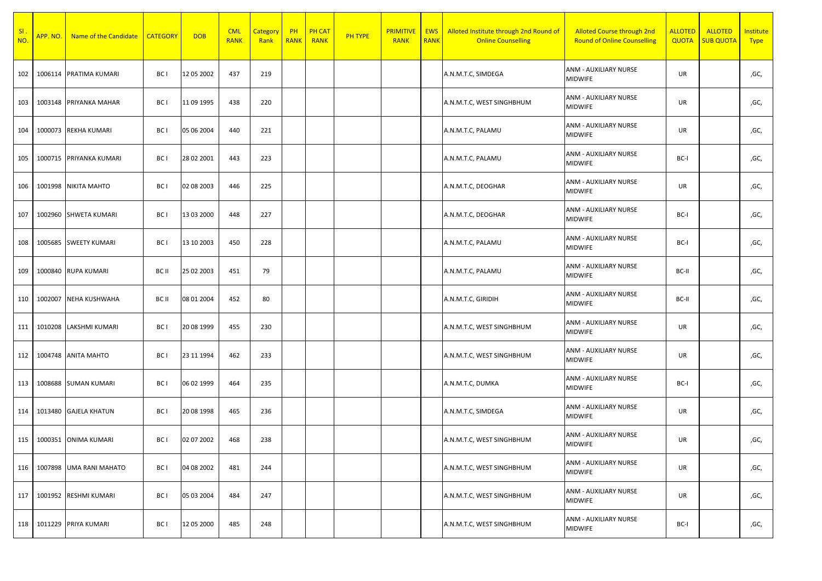| SI.<br>NO. | APP. NO. | Name of the Candidate   | <b>CATEGORY</b> | <b>DOB</b> | <b>CML</b><br><b>RANK</b> | Category<br>Rank | PH<br><b>RANK</b> | <b>PH CAT</b><br><b>RANK</b> | PH TYPE | <b>PRIMITIVE</b><br><b>RANK</b> | <b>EWS</b><br><b>RANK</b> | Alloted Institute through 2nd Round of<br><b>Online Counselling</b> | <b>Alloted Course through 2nd</b><br><b>Round of Online Counselling</b> | <b>ALLOTED</b><br><b>QUOTA</b> | <b>ALLOTED</b><br><b>SUB QUOTA</b> | Institute<br><b>Type</b> |
|------------|----------|-------------------------|-----------------|------------|---------------------------|------------------|-------------------|------------------------------|---------|---------------------------------|---------------------------|---------------------------------------------------------------------|-------------------------------------------------------------------------|--------------------------------|------------------------------------|--------------------------|
| 102        | 1006114  | <b>PRATIMA KUMARI</b>   | BC I            | 12 05 2002 | 437                       | 219              |                   |                              |         |                                 |                           | A.N.M.T.C, SIMDEGA                                                  | ANM - AUXILIARY NURSE<br>MIDWIFE                                        | UR                             |                                    | ,GC,                     |
| 103        | 1003148  | PRIYANKA MAHAR          | BC I            | 11 09 1995 | 438                       | 220              |                   |                              |         |                                 |                           | A.N.M.T.C, WEST SINGHBHUM                                           | ANM - AUXILIARY NURSE<br><b>MIDWIFE</b>                                 | UR                             |                                    | ,GC,                     |
| 104        |          | 1000073 REKHA KUMARI    | BC I            | 05 06 2004 | 440                       | 221              |                   |                              |         |                                 |                           | A.N.M.T.C, PALAMU                                                   | ANM - AUXILIARY NURSE<br><b>MIDWIFE</b>                                 | UR                             |                                    | ,GC,                     |
| 105        |          | 1000715 PRIYANKA KUMARI | BC I            | 28 02 2001 | 443                       | 223              |                   |                              |         |                                 |                           | A.N.M.T.C, PALAMU                                                   | ANM - AUXILIARY NURSE<br><b>MIDWIFE</b>                                 | BC-I                           |                                    | ,GC,                     |
| 106        |          | 1001998 NIKITA MAHTO    | BC I            | 02 08 2003 | 446                       | 225              |                   |                              |         |                                 |                           | A.N.M.T.C, DEOGHAR                                                  | ANM - AUXILIARY NURSE<br><b>MIDWIFE</b>                                 | UR                             |                                    | ,GC,                     |
| 107        | 1002960  | SHWETA KUMARI           | BC I            | 13 03 2000 | 448                       | 227              |                   |                              |         |                                 |                           | A.N.M.T.C, DEOGHAR                                                  | ANM - AUXILIARY NURSE<br>MIDWIFE                                        | BC-I                           |                                    | ,GC,                     |
| 108        | 1005685  | <b>SWEETY KUMARI</b>    | BC I            | 13 10 2003 | 450                       | 228              |                   |                              |         |                                 |                           | A.N.M.T.C, PALAMU                                                   | ANM - AUXILIARY NURSE<br><b>MIDWIFE</b>                                 | BC-I                           |                                    | ,GC,                     |
| 109        | 1000840  | <b>RUPA KUMARI</b>      | BC II           | 25 02 2003 | 451                       | 79               |                   |                              |         |                                 |                           | A.N.M.T.C, PALAMU                                                   | ANM - AUXILIARY NURSE<br><b>MIDWIFE</b>                                 | BC-II                          |                                    | ,GC,                     |
| 110        | 1002007  | NEHA KUSHWAHA           | BC II           | 08 01 2004 | 452                       | 80               |                   |                              |         |                                 |                           | A.N.M.T.C, GIRIDIH                                                  | ANM - AUXILIARY NURSE<br><b>MIDWIFE</b>                                 | BC-II                          |                                    | ,GC,                     |
| 111        | 1010208  | LAKSHMI KUMARI          | BC I            | 20 08 1999 | 455                       | 230              |                   |                              |         |                                 |                           | A.N.M.T.C, WEST SINGHBHUM                                           | ANM - AUXILIARY NURSE<br><b>MIDWIFE</b>                                 | UR                             |                                    | ,GC,                     |
| 112        | 1004748  | <b>ANITA MAHTO</b>      | BC I            | 23 11 1994 | 462                       | 233              |                   |                              |         |                                 |                           | A.N.M.T.C, WEST SINGHBHUM                                           | ANM - AUXILIARY NURSE<br><b>MIDWIFE</b>                                 | UR                             |                                    | ,GC,                     |
| 113        | 1008688  | <b>SUMAN KUMARI</b>     | BC I            | 06 02 1999 | 464                       | 235              |                   |                              |         |                                 |                           | A.N.M.T.C, DUMKA                                                    | ANM - AUXILIARY NURSE<br><b>MIDWIFE</b>                                 | BC-I                           |                                    | ,GC,                     |
| 114        | 1013480  | <b>GAJELA KHATUN</b>    | BC I            | 20 08 1998 | 465                       | 236              |                   |                              |         |                                 |                           | A.N.M.T.C, SIMDEGA                                                  | ANM - AUXILIARY NURSE<br><b>MIDWIFE</b>                                 | UR                             |                                    | ,GC,                     |
| 115        |          | 1000351 ONIMA KUMARI    | BC I            | 02 07 2002 | 468                       | 238              |                   |                              |         |                                 |                           | A.N.M.T.C, WEST SINGHBHUM                                           | ANM - AUXILIARY NURSE<br><b>MIDWIFE</b>                                 | UR                             |                                    | ,GC,                     |
| 116        | 1007898  | <b>UMA RANI MAHATO</b>  | BC I            | 04 08 2002 | 481                       | 244              |                   |                              |         |                                 |                           | A.N.M.T.C, WEST SINGHBHUM                                           | ANM - AUXILIARY NURSE<br><b>MIDWIFE</b>                                 | UR                             |                                    | ,GC,                     |
| 117        | 1001952  | RESHMI KUMARI           | BC I            | 05 03 2004 | 484                       | 247              |                   |                              |         |                                 |                           | A.N.M.T.C, WEST SINGHBHUM                                           | ANM - AUXILIARY NURSE<br><b>MIDWIFE</b>                                 | UR                             |                                    | ,GC,                     |
| 118        | 1011229  | PRIYA KUMARI            | BC I            | 12 05 2000 | 485                       | 248              |                   |                              |         |                                 |                           | A.N.M.T.C, WEST SINGHBHUM                                           | ANM - AUXILIARY NURSE<br><b>MIDWIFE</b>                                 | BC-I                           |                                    | ,GC,                     |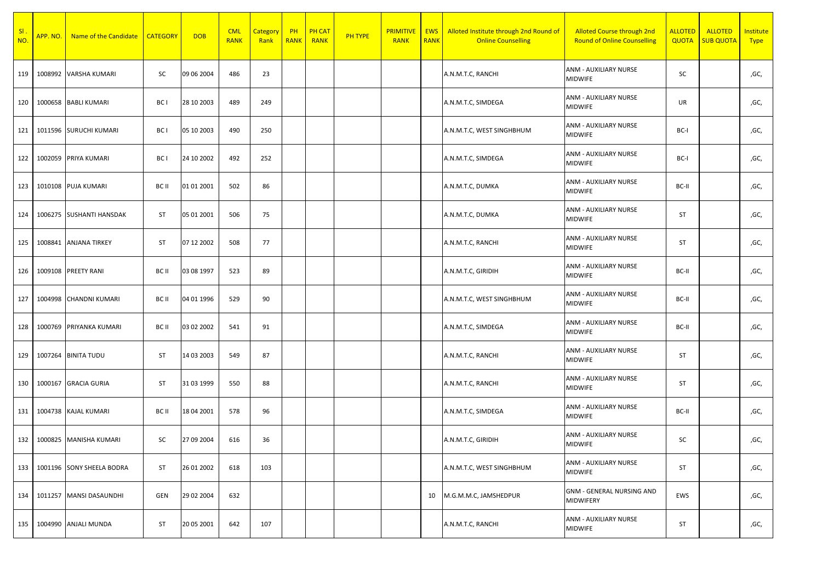| SI<br>NO. |         | APP. NO. Name of the Candidate | <b>CATEGORY</b> | <b>DOB</b> | <b>CML</b><br><b>RANK</b> | <b>Category</b><br>Rank | PH<br><b>RANK</b> | <b>PH CAT</b><br><b>RANK</b> | PH TYPE | <b>PRIMITIVE</b><br><b>RANK</b> | <b>EWS</b><br><b>RANK</b> | Alloted Institute through 2nd Round of<br><b>Online Counselling</b> | <b>Alloted Course through 2nd</b><br><b>Round of Online Counselling</b> | <b>ALLOTED</b><br><b>QUOTA</b> | <b>ALLOTED</b><br><b>SUB QUOTA</b> | Institute<br><b>Type</b> |
|-----------|---------|--------------------------------|-----------------|------------|---------------------------|-------------------------|-------------------|------------------------------|---------|---------------------------------|---------------------------|---------------------------------------------------------------------|-------------------------------------------------------------------------|--------------------------------|------------------------------------|--------------------------|
| 119       |         | 1008992 VARSHA KUMARI          | SC              | 09 06 2004 | 486                       | 23                      |                   |                              |         |                                 |                           | A.N.M.T.C, RANCHI                                                   | ANM - AUXILIARY NURSE<br><b>MIDWIFE</b>                                 | SC                             |                                    | ,GC,                     |
| 120       | 1000658 | <b>BABLI KUMARI</b>            | BC I            | 28 10 2003 | 489                       | 249                     |                   |                              |         |                                 |                           | A.N.M.T.C, SIMDEGA                                                  | ANM - AUXILIARY NURSE<br><b>MIDWIFE</b>                                 | UR                             |                                    | ,GC,                     |
| 121       |         | 1011596 SURUCHI KUMARI         | BC I            | 05 10 2003 | 490                       | 250                     |                   |                              |         |                                 |                           | A.N.M.T.C, WEST SINGHBHUM                                           | ANM - AUXILIARY NURSE<br>MIDWIFE                                        | BC-I                           |                                    | ,GC,                     |
| 122       | 1002059 | PRIYA KUMARI                   | BC I            | 24 10 2002 | 492                       | 252                     |                   |                              |         |                                 |                           | A.N.M.T.C, SIMDEGA                                                  | ANM - AUXILIARY NURSE<br><b>MIDWIFE</b>                                 | BC-I                           |                                    | ,GC,                     |
| 123       |         | 1010108 PUJA KUMARI            | BC II           | 01 01 2001 | 502                       | 86                      |                   |                              |         |                                 |                           | A.N.M.T.C, DUMKA                                                    | ANM - AUXILIARY NURSE<br><b>MIDWIFE</b>                                 | BC-II                          |                                    | ,GC,                     |
| 124       |         | 1006275 SUSHANTI HANSDAK       | <b>ST</b>       | 05 01 2001 | 506                       | 75                      |                   |                              |         |                                 |                           | A.N.M.T.C, DUMKA                                                    | ANM - AUXILIARY NURSE<br><b>MIDWIFE</b>                                 | <b>ST</b>                      |                                    | ,GC,                     |
| 125       | 1008841 | <b>ANJANA TIRKEY</b>           | <b>ST</b>       | 07 12 2002 | 508                       | 77                      |                   |                              |         |                                 |                           | A.N.M.T.C, RANCHI                                                   | ANM - AUXILIARY NURSE<br><b>MIDWIFE</b>                                 | <b>ST</b>                      |                                    | ,GC,                     |
| 126       | 1009108 | <b>PREETY RANI</b>             | BC II           | 03 08 1997 | 523                       | 89                      |                   |                              |         |                                 |                           | A.N.M.T.C, GIRIDIH                                                  | ANM - AUXILIARY NURSE<br><b>MIDWIFE</b>                                 | BC-II                          |                                    | ,GC,                     |
| 127       | 1004998 | <b>CHANDNI KUMARI</b>          | BC II           | 04 01 1996 | 529                       | 90                      |                   |                              |         |                                 |                           | A.N.M.T.C, WEST SINGHBHUM                                           | ANM - AUXILIARY NURSE<br><b>MIDWIFE</b>                                 | BC-II                          |                                    | ,GC,                     |
| 128       |         | 1000769 PRIYANKA KUMARI        | BC II           | 03 02 2002 | 541                       | 91                      |                   |                              |         |                                 |                           | A.N.M.T.C, SIMDEGA                                                  | ANM - AUXILIARY NURSE<br><b>MIDWIFE</b>                                 | BC-II                          |                                    | ,GC,                     |
| 129       | 1007264 | <b>BINITA TUDU</b>             | <b>ST</b>       | 14 03 2003 | 549                       | 87                      |                   |                              |         |                                 |                           | A.N.M.T.C, RANCHI                                                   | ANM - AUXILIARY NURSE<br><b>MIDWIFE</b>                                 | <b>ST</b>                      |                                    | ,GC,                     |
| 130       |         | 1000167 GRACIA GURIA           | <b>ST</b>       | 31 03 1999 | 550                       | 88                      |                   |                              |         |                                 |                           | A.N.M.T.C, RANCHI                                                   | ANM - AUXILIARY NURSE<br><b>MIDWIFE</b>                                 | <b>ST</b>                      |                                    | ,GC,                     |
| 131       |         | 1004738 KAJAL KUMARI           | BC II           | 18 04 2001 | 578                       | 96                      |                   |                              |         |                                 |                           | A.N.M.T.C, SIMDEGA                                                  | ANM - AUXILIARY NURSE<br><b>MIDWIFE</b>                                 | BC-II                          |                                    | ,GC,                     |
| 132       |         | 1000825 MANISHA KUMARI         | SC              | 27 09 2004 | 616                       | 36                      |                   |                              |         |                                 |                           | A.N.M.T.C, GIRIDIH                                                  | ANM - AUXILIARY NURSE<br><b>MIDWIFE</b>                                 | SC                             |                                    | ,GC,                     |
| 133       |         | 1001196 SONY SHEELA BODRA      | ST              | 26 01 2002 | 618                       | 103                     |                   |                              |         |                                 |                           | A.N.M.T.C, WEST SINGHBHUM                                           | ANM - AUXILIARY NURSE<br><b>MIDWIFE</b>                                 | <b>ST</b>                      |                                    | ,GC,                     |
| 134       | 1011257 | <b>MANSI DASAUNDHI</b>         | <b>GEN</b>      | 29 02 2004 | 632                       |                         |                   |                              |         |                                 | 10                        | M.G.M.M.C, JAMSHEDPUR                                               | <b>GNM - GENERAL NURSING AND</b><br>MIDWIFERY                           | EWS                            |                                    | ,GC,                     |
| 135       | 1004990 | <b>ANJALI MUNDA</b>            | <b>ST</b>       | 20 05 2001 | 642                       | 107                     |                   |                              |         |                                 |                           | A.N.M.T.C, RANCHI                                                   | ANM - AUXILIARY NURSE<br>MIDWIFE                                        | ST                             |                                    | ,GC,                     |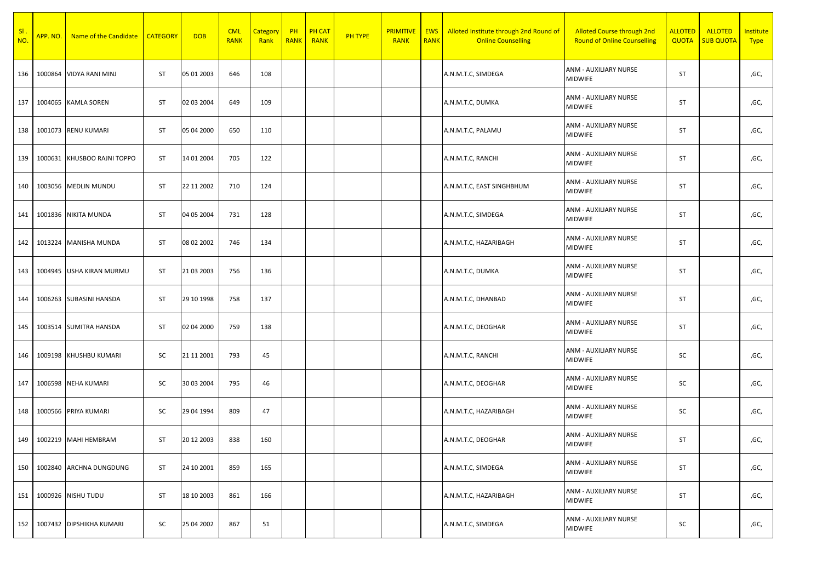| $\overline{\phantom{a}}$ SI.<br>NO. | APP. NO. | Name of the Candidate   CATEGORY |           | <b>DOB</b> | <b>CML</b><br><b>RANK</b> | Category<br>Rank | PH<br><b>RANK</b> | <b>PH CAT</b><br><b>RANK</b> | PH TYPE | <b>PRIMITIVE</b><br><b>RANK</b> | <b>EWS</b><br><b>RANK</b> | Alloted Institute through 2nd Round of<br><b>Online Counselling</b> | <b>Alloted Course through 2nd</b><br><b>Round of Online Counselling</b> | <b>ALLOTED</b><br><b>QUOTA</b> | <b>ALLOTED</b><br><b>SUB QUOTA</b> | <b>Institute</b><br><b>Type</b> |
|-------------------------------------|----------|----------------------------------|-----------|------------|---------------------------|------------------|-------------------|------------------------------|---------|---------------------------------|---------------------------|---------------------------------------------------------------------|-------------------------------------------------------------------------|--------------------------------|------------------------------------|---------------------------------|
| 136                                 | 1000864  | <b>VIDYA RANI MINJ</b>           | ST        | 05 01 2003 | 646                       | 108              |                   |                              |         |                                 |                           | A.N.M.T.C, SIMDEGA                                                  | ANM - AUXILIARY NURSE<br><b>MIDWIFE</b>                                 | ST                             |                                    | ,GC,                            |
| 137                                 | 1004065  | <b>KAMLA SOREN</b>               | ST        | 02 03 2004 | 649                       | 109              |                   |                              |         |                                 |                           | A.N.M.T.C, DUMKA                                                    | ANM - AUXILIARY NURSE<br><b>MIDWIFE</b>                                 | ST                             |                                    | ,GC,                            |
| 138                                 |          | 1001073 RENU KUMARI              | ST        | 05 04 2000 | 650                       | 110              |                   |                              |         |                                 |                           | A.N.M.T.C, PALAMU                                                   | ANM - AUXILIARY NURSE<br><b>MIDWIFE</b>                                 | ST                             |                                    | ,GC,                            |
| 139                                 | 1000631  | KHUSBOO RAJNI TOPPO              | ST        | 14 01 2004 | 705                       | 122              |                   |                              |         |                                 |                           | A.N.M.T.C, RANCHI                                                   | <b>ANM - AUXILIARY NURSE</b><br><b>MIDWIFE</b>                          | ST                             |                                    | ,GC,                            |
| 140                                 |          | 1003056 MEDLIN MUNDU             | ST        | 22 11 2002 | 710                       | 124              |                   |                              |         |                                 |                           | A.N.M.T.C, EAST SINGHBHUM                                           | ANM - AUXILIARY NURSE<br><b>MIDWIFE</b>                                 | ST                             |                                    | ,GC,                            |
| 141                                 | 1001836  | <b>NIKITA MUNDA</b>              | <b>ST</b> | 04 05 2004 | 731                       | 128              |                   |                              |         |                                 |                           | A.N.M.T.C, SIMDEGA                                                  | ANM - AUXILIARY NURSE<br><b>MIDWIFE</b>                                 | ST                             |                                    | ,GC,                            |
| 142                                 |          | 1013224 MANISHA MUNDA            | ST        | 08 02 2002 | 746                       | 134              |                   |                              |         |                                 |                           | A.N.M.T.C, HAZARIBAGH                                               | ANM - AUXILIARY NURSE<br><b>MIDWIFE</b>                                 | ST                             |                                    | ,GC,                            |
| 143                                 | 1004945  | USHA KIRAN MURMU                 | ST        | 21 03 2003 | 756                       | 136              |                   |                              |         |                                 |                           | A.N.M.T.C, DUMKA                                                    | ANM - AUXILIARY NURSE<br><b>MIDWIFE</b>                                 | ST                             |                                    | ,GC,                            |
| 144                                 |          | 1006263 SUBASINI HANSDA          | ST        | 29 10 1998 | 758                       | 137              |                   |                              |         |                                 |                           | A.N.M.T.C, DHANBAD                                                  | ANM - AUXILIARY NURSE<br><b>MIDWIFE</b>                                 | ST                             |                                    | ,GC,                            |
| 145                                 |          | 1003514 SUMITRA HANSDA           | ST        | 02 04 2000 | 759                       | 138              |                   |                              |         |                                 |                           | A.N.M.T.C, DEOGHAR                                                  | ANM - AUXILIARY NURSE<br><b>MIDWIFE</b>                                 | ST                             |                                    | ,GC,                            |
| 146                                 | 1009198  | KHUSHBU KUMARI                   | SC        | 21 11 2001 | 793                       | 45               |                   |                              |         |                                 |                           | A.N.M.T.C, RANCHI                                                   | ANM - AUXILIARY NURSE<br><b>MIDWIFE</b>                                 | SC                             |                                    | ,GC,                            |
| 147                                 | 1006598  | <b>NEHA KUMARI</b>               | SC        | 30 03 2004 | 795                       | 46               |                   |                              |         |                                 |                           | A.N.M.T.C, DEOGHAR                                                  | ANM - AUXILIARY NURSE<br><b>MIDWIFE</b>                                 | SC                             |                                    | ,GC,                            |
| 148                                 | 1000566  | PRIYA KUMARI                     | sc        | 29 04 1994 | 809                       | 47               |                   |                              |         |                                 |                           | A.N.M.T.C, HAZARIBAGH                                               | ANM - AUXILIARY NURSE<br><b>MIDWIFE</b>                                 | SC                             |                                    | ,GC,                            |
| 149                                 |          | 1002219 MAHI HEMBRAM             | ST        | 20 12 2003 | 838                       | 160              |                   |                              |         |                                 |                           | A.N.M.T.C, DEOGHAR                                                  | ANM - AUXILIARY NURSE<br><b>MIDWIFE</b>                                 | ST                             |                                    | ,GC,                            |
| 150                                 | 1002840  | ARCHNA DUNGDUNG                  | ST        | 24 10 2001 | 859                       | 165              |                   |                              |         |                                 |                           | A.N.M.T.C, SIMDEGA                                                  | ANM - AUXILIARY NURSE<br><b>MIDWIFE</b>                                 | ST                             |                                    | ,GC,                            |
| 151                                 | 1000926  | <b>NISHU TUDU</b>                | ST        | 18 10 2003 | 861                       | 166              |                   |                              |         |                                 |                           | A.N.M.T.C, HAZARIBAGH                                               | ANM - AUXILIARY NURSE<br><b>MIDWIFE</b>                                 | ST                             |                                    | ,GC,                            |
| 152                                 | 1007432  | <b>DIPSHIKHA KUMARI</b>          | SC        | 25 04 2002 | 867                       | 51               |                   |                              |         |                                 |                           | A.N.M.T.C, SIMDEGA                                                  | ANM - AUXILIARY NURSE<br><b>MIDWIFE</b>                                 | SC                             |                                    | ,GC,                            |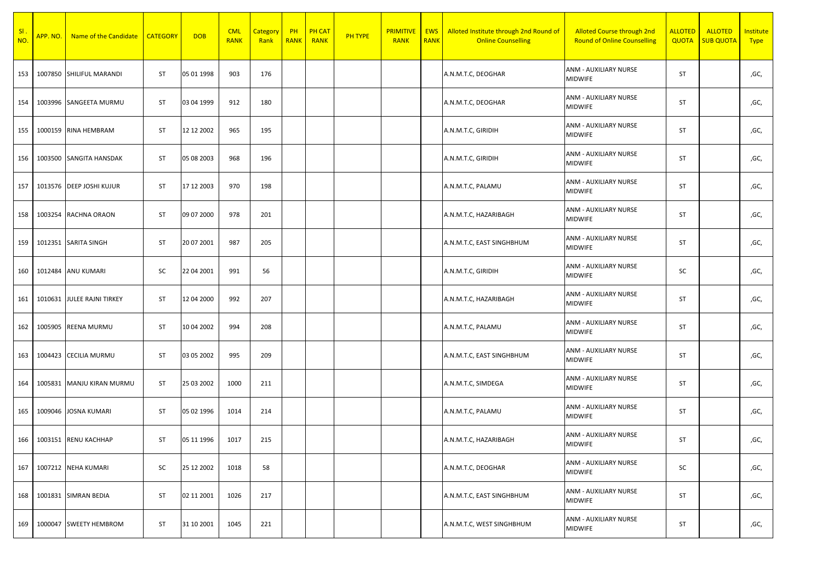| $SI$ .<br>NO. | APP. NO. | Name of the Candidate      | <b>CATEGORY</b> | <b>DOB</b> | <b>CML</b><br><b>RANK</b> | <b>Category</b><br>Rank | PH<br><b>RANK</b> | <b>PH CAT</b><br><b>RANK</b> | <b>PH TYPE</b> | <b>PRIMITIVE</b><br><b>RANK</b> | <b>EWS</b><br><b>RANK</b> | Alloted Institute through 2nd Round of<br><b>Online Counselling</b> | <b>Alloted Course through 2nd</b><br><b>Round of Online Counselling</b> | <b>ALLOTED</b><br><b>QUOTA</b> | <b>ALLOTED</b><br><b>SUB QUOTA</b> | Institute<br><b>Type</b> |
|---------------|----------|----------------------------|-----------------|------------|---------------------------|-------------------------|-------------------|------------------------------|----------------|---------------------------------|---------------------------|---------------------------------------------------------------------|-------------------------------------------------------------------------|--------------------------------|------------------------------------|--------------------------|
| 153           | 1007850  | SHILIFUL MARANDI           | <b>ST</b>       | 05 01 1998 | 903                       | 176                     |                   |                              |                |                                 |                           | A.N.M.T.C, DEOGHAR                                                  | ANM - AUXILIARY NURSE<br><b>MIDWIFE</b>                                 | ST                             |                                    | ,GC,                     |
| 154           |          | 1003996 SANGEETA MURMU     | <b>ST</b>       | 03 04 1999 | 912                       | 180                     |                   |                              |                |                                 |                           | A.N.M.T.C, DEOGHAR                                                  | ANM - AUXILIARY NURSE<br><b>MIDWIFE</b>                                 | <b>ST</b>                      |                                    | ,GC,                     |
| 155           |          | 1000159 RINA HEMBRAM       | ST              | 12 12 2002 | 965                       | 195                     |                   |                              |                |                                 |                           | A.N.M.T.C, GIRIDIH                                                  | ANM - AUXILIARY NURSE<br>MIDWIFE                                        | <b>ST</b>                      |                                    | ,GC,                     |
| 156           |          | 1003500 SANGITA HANSDAK    | ST              | 05 08 2003 | 968                       | 196                     |                   |                              |                |                                 |                           | A.N.M.T.C, GIRIDIH                                                  | ANM - AUXILIARY NURSE<br>MIDWIFE                                        | <b>ST</b>                      |                                    | ,GC,                     |
| 157           |          | 1013576   DEEP JOSHI KUJUR | ST              | 17 12 2003 | 970                       | 198                     |                   |                              |                |                                 |                           | A.N.M.T.C, PALAMU                                                   | ANM - AUXILIARY NURSE<br><b>MIDWIFE</b>                                 | ST                             |                                    | ,GC,                     |
| 158           |          | 1003254 RACHNA ORAON       | <b>ST</b>       | 09 07 2000 | 978                       | 201                     |                   |                              |                |                                 |                           | A.N.M.T.C, HAZARIBAGH                                               | ANM - AUXILIARY NURSE<br><b>MIDWIFE</b>                                 | <b>ST</b>                      |                                    | ,GC,                     |
| 159           |          | 1012351 SARITA SINGH       | <b>ST</b>       | 20 07 2001 | 987                       | 205                     |                   |                              |                |                                 |                           | A.N.M.T.C, EAST SINGHBHUM                                           | ANM - AUXILIARY NURSE<br><b>MIDWIFE</b>                                 | <b>ST</b>                      |                                    | ,GC,                     |
| 160           | 1012484  | <b>ANU KUMARI</b>          | SC              | 22 04 2001 | 991                       | 56                      |                   |                              |                |                                 |                           | A.N.M.T.C, GIRIDIH                                                  | ANM - AUXILIARY NURSE<br>MIDWIFE                                        | SC                             |                                    | ,GC,                     |
| 161           | 1010631  | JULEE RAJNI TIRKEY         | ST              | 12 04 2000 | 992                       | 207                     |                   |                              |                |                                 |                           | A.N.M.T.C, HAZARIBAGH                                               | ANM - AUXILIARY NURSE<br>MIDWIFE                                        | <b>ST</b>                      |                                    | ,GC,                     |
| 162           |          | 1005905 REENA MURMU        | <b>ST</b>       | 10 04 2002 | 994                       | 208                     |                   |                              |                |                                 |                           | A.N.M.T.C, PALAMU                                                   | ANM - AUXILIARY NURSE<br><b>MIDWIFE</b>                                 | <b>ST</b>                      |                                    | ,GC,                     |
| 163           | 1004423  | <b>CECILIA MURMU</b>       | <b>ST</b>       | 03 05 2002 | 995                       | 209                     |                   |                              |                |                                 |                           | A.N.M.T.C, EAST SINGHBHUM                                           | ANM - AUXILIARY NURSE<br>MIDWIFE                                        | ST                             |                                    | ,GC,                     |
| 164           | 1005831  | MANJU KIRAN MURMU          | <b>ST</b>       | 25 03 2002 | 1000                      | 211                     |                   |                              |                |                                 |                           | A.N.M.T.C, SIMDEGA                                                  | ANM - AUXILIARY NURSE<br><b>MIDWIFE</b>                                 | <b>ST</b>                      |                                    | ,GC,                     |
| 165           | 1009046  | <b>JOSNA KUMARI</b>        | <b>ST</b>       | 05 02 1996 | 1014                      | 214                     |                   |                              |                |                                 |                           | A.N.M.T.C, PALAMU                                                   | ANM - AUXILIARY NURSE<br>MIDWIFE                                        | ST                             |                                    | ,GC,                     |
| 166           |          | 1003151 RENU KACHHAP       | ST              | 05 11 1996 | 1017                      | 215                     |                   |                              |                |                                 |                           | A.N.M.T.C, HAZARIBAGH                                               | ANM - AUXILIARY NURSE<br><b>MIDWIFE</b>                                 | <b>ST</b>                      |                                    | ,GC,                     |
| 167           |          | 1007212 NEHA KUMARI        | SC              | 25 12 2002 | 1018                      | 58                      |                   |                              |                |                                 |                           | A.N.M.T.C, DEOGHAR                                                  | ANM - AUXILIARY NURSE<br><b>MIDWIFE</b>                                 | SC                             |                                    | ,GC,                     |
| 168           |          | 1001831 SIMRAN BEDIA       | ST              | 02 11 2001 | 1026                      | 217                     |                   |                              |                |                                 |                           | A.N.M.T.C, EAST SINGHBHUM                                           | ANM - AUXILIARY NURSE<br><b>MIDWIFE</b>                                 | ST                             |                                    | ,GC,                     |
| 169           | 1000047  | <b>SWEETY HEMBROM</b>      | ST              | 31 10 2001 | 1045                      | 221                     |                   |                              |                |                                 |                           | A.N.M.T.C, WEST SINGHBHUM                                           | ANM - AUXILIARY NURSE<br><b>MIDWIFE</b>                                 | ST                             |                                    | ,GC,                     |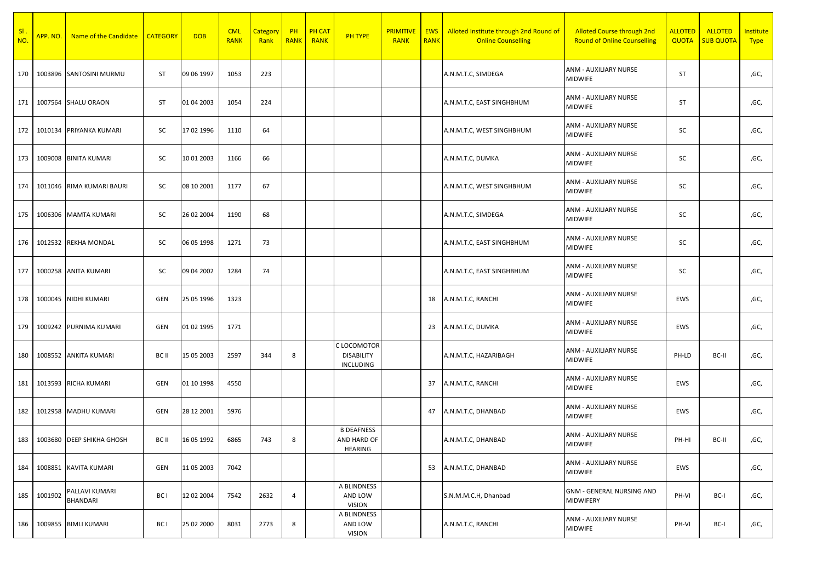| SI.<br>NO. | APP. NO. | Name of the Candidate      | <b>CATEGORY</b> | <b>DOB</b> | <b>CML</b><br><b>RANK</b> | Category<br>Rank | PH<br><b>RANK</b> | <b>PH CAT</b><br><b>RANK</b> | <b>PH TYPE</b>                                | <b>PRIMITIVE</b><br><b>RANK</b> | <b>EWS</b><br><b>RANK</b> | Alloted Institute through 2nd Round of<br><b>Online Counselling</b> | <b>Alloted Course through 2nd</b><br><b>Round of Online Counselling</b> | <b>ALLOTED</b><br><b>QUOTA</b> | <b>ALLOTED</b><br><b>SUB QUOTA</b> | <b>Institute</b><br><b>Type</b> |
|------------|----------|----------------------------|-----------------|------------|---------------------------|------------------|-------------------|------------------------------|-----------------------------------------------|---------------------------------|---------------------------|---------------------------------------------------------------------|-------------------------------------------------------------------------|--------------------------------|------------------------------------|---------------------------------|
| 170        |          | 1003896 SANTOSINI MURMU    | <b>ST</b>       | 09 06 1997 | 1053                      | 223              |                   |                              |                                               |                                 |                           | A.N.M.T.C, SIMDEGA                                                  | ANM - AUXILIARY NURSE<br>MIDWIFE                                        | ST                             |                                    | ,GC,                            |
| 171        |          | 1007564 SHALU ORAON        | <b>ST</b>       | 01 04 2003 | 1054                      | 224              |                   |                              |                                               |                                 |                           | A.N.M.T.C, EAST SINGHBHUM                                           | ANM - AUXILIARY NURSE<br><b>MIDWIFE</b>                                 | ST                             |                                    | ,GC,                            |
| 172        |          | 1010134 PRIYANKA KUMARI    | SC              | 17 02 1996 | 1110                      | 64               |                   |                              |                                               |                                 |                           | A.N.M.T.C, WEST SINGHBHUM                                           | ANM - AUXILIARY NURSE<br><b>MIDWIFE</b>                                 | SC                             |                                    | ,GC,                            |
| 173        |          | 1009008 BINITA KUMARI      | SC              | 10 01 2003 | 1166                      | 66               |                   |                              |                                               |                                 |                           | A.N.M.T.C, DUMKA                                                    | ANM - AUXILIARY NURSE<br><b>MIDWIFE</b>                                 | SC                             |                                    | ,GC,                            |
| 174        |          | 1011046 RIMA KUMARI BAURI  | SC              | 08 10 2001 | 1177                      | 67               |                   |                              |                                               |                                 |                           | A.N.M.T.C, WEST SINGHBHUM                                           | ANM - AUXILIARY NURSE<br><b>MIDWIFE</b>                                 | SC                             |                                    | ,GC,                            |
| 175        |          | 1006306 MAMTA KUMARI       | SC              | 26 02 2004 | 1190                      | 68               |                   |                              |                                               |                                 |                           | A.N.M.T.C, SIMDEGA                                                  | ANM - AUXILIARY NURSE<br>MIDWIFE                                        | SC                             |                                    | ,GC,                            |
| 176        |          | 1012532 REKHA MONDAL       | SC              | 06 05 1998 | 1271                      | 73               |                   |                              |                                               |                                 |                           | A.N.M.T.C, EAST SINGHBHUM                                           | ANM - AUXILIARY NURSE<br><b>MIDWIFE</b>                                 | SC                             |                                    | ,GC,                            |
| 177        |          | 1000258 ANITA KUMARI       | SC              | 09 04 2002 | 1284                      | 74               |                   |                              |                                               |                                 |                           | A.N.M.T.C, EAST SINGHBHUM                                           | ANM - AUXILIARY NURSE<br><b>MIDWIFE</b>                                 | SC                             |                                    | ,GC,                            |
| 178        |          | 1000045 NIDHI KUMARI       | GEN             | 25 05 1996 | 1323                      |                  |                   |                              |                                               |                                 | 18                        | A.N.M.T.C, RANCHI                                                   | ANM - AUXILIARY NURSE<br><b>MIDWIFE</b>                                 | EWS                            |                                    | ,GC,                            |
| 179        |          | 1009242 PURNIMA KUMARI     | GEN             | 01 02 1995 | 1771                      |                  |                   |                              |                                               |                                 | 23                        | A.N.M.T.C, DUMKA                                                    | ANM - AUXILIARY NURSE<br><b>MIDWIFE</b>                                 | EWS                            |                                    | ,GC,                            |
| 180        |          | 1008552 ANKITA KUMARI      | BC II           | 15 05 2003 | 2597                      | 344              | 8                 |                              | C LOCOMOTOR<br><b>DISABILITY</b><br>INCLUDING |                                 |                           | A.N.M.T.C, HAZARIBAGH                                               | ANM - AUXILIARY NURSE<br><b>MIDWIFE</b>                                 | PH-LD                          | BC-II                              | ,GC,                            |
| 181        |          | 1013593 RICHA KUMARI       | GEN             | 01 10 1998 | 4550                      |                  |                   |                              |                                               |                                 | 37                        | A.N.M.T.C, RANCHI                                                   | ANM - AUXILIARY NURSE<br><b>MIDWIFE</b>                                 | EWS                            |                                    | ,GC,                            |
| 182        |          | 1012958 MADHU KUMARI       | GEN             | 28 12 2001 | 5976                      |                  |                   |                              |                                               |                                 | 47                        | A.N.M.T.C, DHANBAD                                                  | ANM - AUXILIARY NURSE<br><b>MIDWIFE</b>                                 | EWS                            |                                    | ,GC,                            |
| 183        |          | 1003680 DEEP SHIKHA GHOSH  | BC II           | 16 05 1992 | 6865                      | 743              | 8                 |                              | <b>B DEAFNESS</b><br>AND HARD OF<br>HEARING   |                                 |                           | A.N.M.T.C, DHANBAD                                                  | ANM - AUXILIARY NURSE<br><b>MIDWIFE</b>                                 | PH-HI                          | BC-II                              | ,GC,                            |
| 184        | 1008851  | <b>KAVITA KUMARI</b>       | GEN             | 11 05 2003 | 7042                      |                  |                   |                              |                                               |                                 | 53                        | A.N.M.T.C, DHANBAD                                                  | <b>ANM - AUXILIARY NURSE</b><br><b>MIDWIFE</b>                          | EWS                            |                                    | ,GC,                            |
| 185        | 1001902  | PALLAVI KUMARI<br>BHANDARI | BC I            | 12 02 2004 | 7542                      | 2632             | 4                 |                              | A BLINDNESS<br>AND LOW<br><b>VISION</b>       |                                 |                           | S.N.M.M.C.H, Dhanbad                                                | <b>GNM - GENERAL NURSING AND</b><br>MIDWIFERY                           | PH-VI                          | BC-I                               | ,GC,                            |
| 186        |          | 1009855 BIMLI KUMARI       | BC I            | 25 02 2000 | 8031                      | 2773             | 8                 |                              | A BLINDNESS<br>AND LOW<br><b>VISION</b>       |                                 |                           | A.N.M.T.C, RANCHI                                                   | ANM - AUXILIARY NURSE<br><b>MIDWIFE</b>                                 | PH-VI                          | BC-I                               | ,GC,                            |